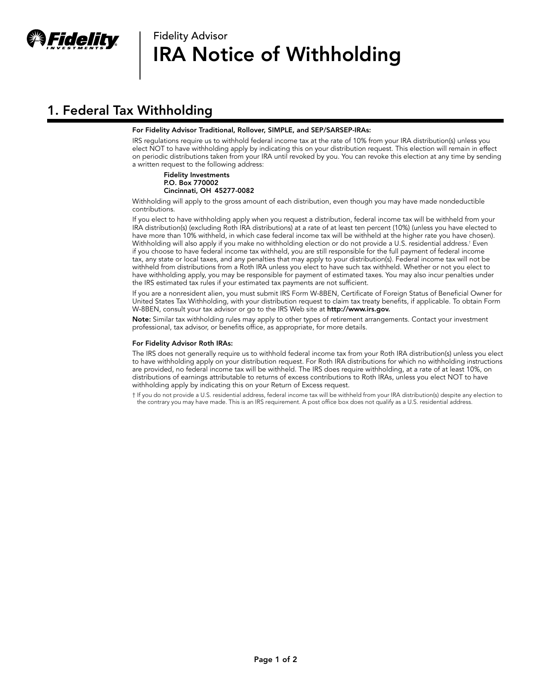

# Fidelity Advisor IRA Notice of Withholding

## 1. Federal Tax Withholding

## For Fidelity Advisor Traditional, Rollover, SIMPLE, and SEP/SARSEP-IRAs:

IRS regulations require us to withhold federal income tax at the rate of 10% from your IRA distribution(s) unless you elect NOT to have withholding apply by indicating this on your distribution request. This election will remain in effect on periodic distributions taken from your IRA until revoked by you. You can revoke this election at any time by sending a written request to the following address:

#### Fidelity Investments P.O. Box 770002 Cincinnati, OH 45277-0082

Withholding will apply to the gross amount of each distribution, even though you may have made nondeductible contributions.

If you elect to have withholding apply when you request a distribution, federal income tax will be withheld from your IRA distribution(s) (excluding Roth IRA distributions) at a rate of at least ten percent (10%) (unless you have elected to have more than 10% withheld, in which case federal income tax will be withheld at the higher rate you have chosen). Withholding will also apply if you make no withholding election or do not provide a U.S. residential address.† Even if you choose to have federal income tax withheld, you are still responsible for the full payment of federal income tax, any state or local taxes, and any penalties that may apply to your distribution(s). Federal income tax will not be withheld from distributions from a Roth IRA unless you elect to have such tax withheld. Whether or not you elect to have withholding apply, you may be responsible for payment of estimated taxes. You may also incur penalties under the IRS estimated tax rules if your estimated tax payments are not sufficient.

If you are a nonresident alien, you must submit IRS Form W-8BEN, Certificate of Foreign Status of Beneficial Owner for United States Tax Withholding, with your distribution request to claim tax treaty benefits, if applicable. To obtain Form W-8BEN, consult your tax advisor or go to the IRS Web site at http://www.irs.gov.

Note: Similar tax withholding rules may apply to other types of retirement arrangements. Contact your investment professional, tax advisor, or benefits office, as appropriate, for more details.

### For Fidelity Advisor Roth IRAs:

The IRS does not generally require us to withhold federal income tax from your Roth IRA distribution(s) unless you elect to have withholding apply on your distribution request. For Roth IRA distributions for which no withholding instructions are provided, no federal income tax will be withheld. The IRS does require withholding, at a rate of at least 10%, on distributions of earnings attributable to returns of excess contributions to Roth IRAs, unless you elect NOT to have withholding apply by indicating this on your Return of Excess request.

† If you do not provide a U.S. residential address, federal income tax will be withheld from your IRA distribution(s) despite any election to the contrary you may have made. This is an IRS requirement. A post office box does not qualify as a U.S. residential address.